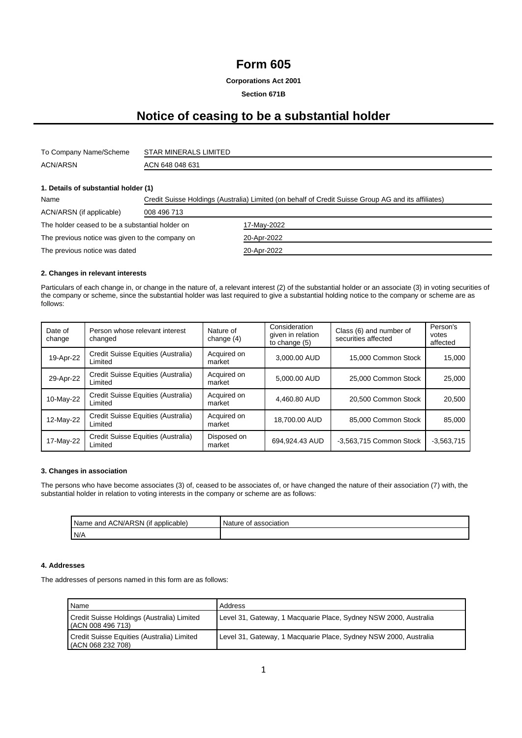### **Form 605**

**Corporations Act 2001**

**Section 671B**

## **Notice of ceasing to be a substantial holder**

| To Company Name/Scheme | STAR MINERALS LIMITED |
|------------------------|-----------------------|
| <b>ACN/ARSN</b>        | ACN 648 048 631       |

#### **1. Details of substantial holder (1)**

| Name                                            | Credit Suisse Holdings (Australia) Limited (on behalf of Credit Suisse Group AG and its affiliates) |             |  |
|-------------------------------------------------|-----------------------------------------------------------------------------------------------------|-------------|--|
| ACN/ARSN (if applicable)                        | 008 496 713                                                                                         |             |  |
| The holder ceased to be a substantial holder on |                                                                                                     | 17-May-2022 |  |
| The previous notice was given to the company on |                                                                                                     | 20-Apr-2022 |  |
| The previous notice was dated                   |                                                                                                     | 20-Apr-2022 |  |

#### **2. Changes in relevant interests**

Particulars of each change in, or change in the nature of, a relevant interest (2) of the substantial holder or an associate (3) in voting securities of the company or scheme, since the substantial holder was last required to give a substantial holding notice to the company or scheme are as follows:

| Date of<br>change | Person whose relevant interest<br>changed     | Nature of<br>change $(4)$ | Consideration<br>given in relation<br>to change (5) | Class (6) and number of<br>securities affected | Person's<br>votes<br>affected |
|-------------------|-----------------------------------------------|---------------------------|-----------------------------------------------------|------------------------------------------------|-------------------------------|
| 19-Apr-22         | Credit Suisse Equities (Australia)<br>Limited | Acquired on<br>market     | 3,000,00 AUD                                        | 15,000 Common Stock                            | 15.000                        |
| 29-Apr-22         | Credit Suisse Equities (Australia)<br>Limited | Acquired on<br>market     | 5.000.00 AUD                                        | 25,000 Common Stock                            | 25.000                        |
| 10-May-22         | Credit Suisse Equities (Australia)<br>Limited | Acquired on<br>market     | 4.460.80 AUD                                        | 20.500 Common Stock                            | 20.500                        |
| 12-May-22         | Credit Suisse Equities (Australia)<br>Limited | Acquired on<br>market     | 18,700.00 AUD                                       | 85,000 Common Stock                            | 85,000                        |
| 17-May-22         | Credit Suisse Equities (Australia)<br>Limited | Disposed on<br>market     | 694.924.43 AUD                                      | -3,563,715 Common Stock                        | $-3,563,715$                  |

#### **3. Changes in association**

The persons who have become associates (3) of, ceased to be associates of, or have changed the nature of their association (7) with, the substantial holder in relation to voting interests in the company or scheme are as follows:

| ACN/ARSN<br>Name<br>and<br>applicable<br>(It | association<br>Nature<br>Ωt |
|----------------------------------------------|-----------------------------|
| N/A                                          |                             |

#### **4. Addresses**

The addresses of persons named in this form are as follows:

| Name                                                            | Address                                                          |
|-----------------------------------------------------------------|------------------------------------------------------------------|
| Credit Suisse Holdings (Australia) Limited<br>(ACN 008 496 713) | Level 31, Gateway, 1 Macquarie Place, Sydney NSW 2000, Australia |
| Credit Suisse Equities (Australia) Limited<br>(ACN 068 232 708) | Level 31, Gateway, 1 Macquarie Place, Sydney NSW 2000, Australia |